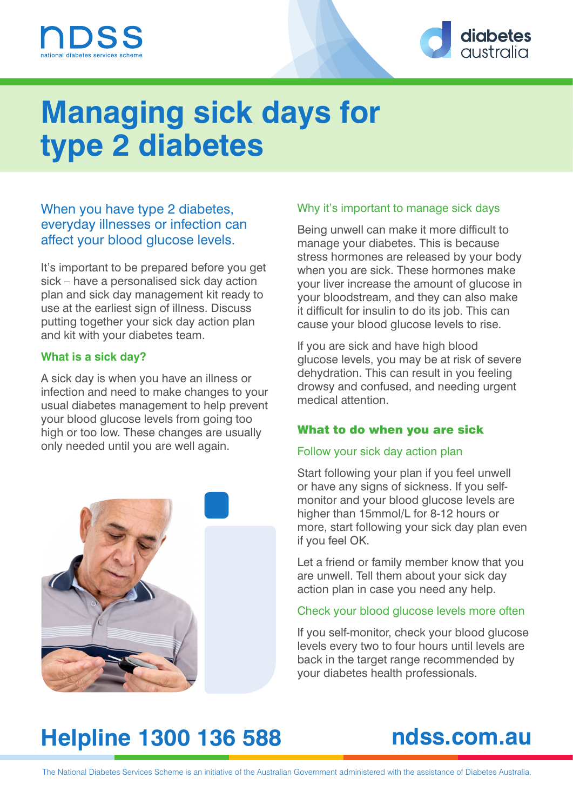



# **Managing sick days for type 2 diabetes**

#### When you have type 2 diabetes, everyday illnesses or infection can affect your blood glucose levels.

It's important to be prepared before you get sick – have a personalised sick day action plan and sick day management kit ready to use at the earliest sign of illness. Discuss putting together your sick day action plan and kit with your diabetes team.

#### **What is a sick day?**

A sick day is when you have an illness or infection and need to make changes to your usual diabetes management to help prevent your blood glucose levels from going too high or too low. These changes are usually only needed until you are well again.



#### Why it's important to manage sick days

Being unwell can make it more difficult to manage your diabetes. This is because stress hormones are released by your body when you are sick. These hormones make your liver increase the amount of glucose in your bloodstream, and they can also make it difficult for insulin to do its job. This can cause your blood glucose levels to rise.

If you are sick and have high blood glucose levels, you may be at risk of severe dehydration. This can result in you feeling drowsy and confused, and needing urgent medical attention.

#### What to do when you are sick

#### Follow your sick day action plan

Start following your plan if you feel unwell or have any signs of sickness. If you selfmonitor and your blood glucose levels are higher than 15mmol/L for 8-12 hours or more, start following your sick day plan even if you feel OK.

Let a friend or family member know that you are unwell. Tell them about your sick day action plan in case you need any help.

#### Check your blood glucose levels more often

If you self-monitor, check your blood glucose levels every two to four hours until levels are back in the target range recommended by your diabetes health professionals.

## **Helpline 1300 136 588 ndss.com.au**

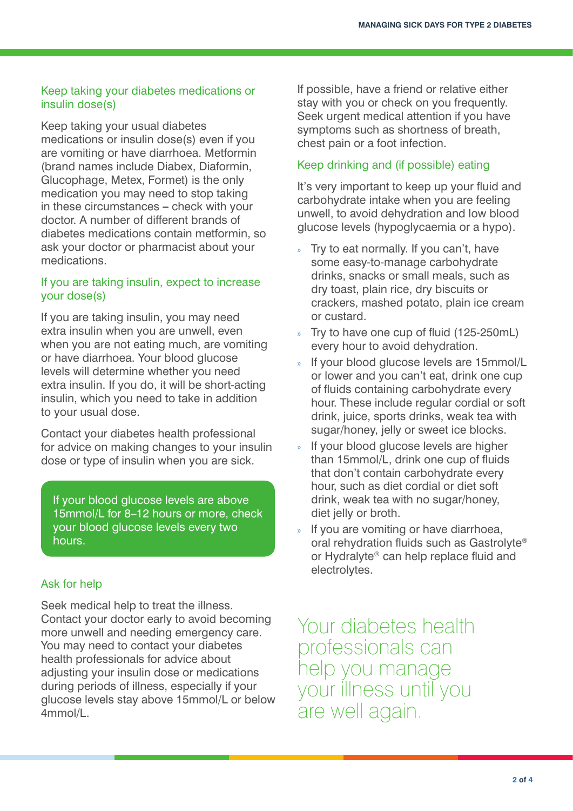#### Keep taking your diabetes medications or insulin dose(s)

Keep taking your usual diabetes medications or insulin dose(s) even if you are vomiting or have diarrhoea. Metformin (brand names include Diabex, Diaformin, Glucophage, Metex, Formet) is the only medication you may need to stop taking in these circumstances **–** check with your doctor. A number of different brands of diabetes medications contain metformin, so ask your doctor or pharmacist about your medications.

#### If you are taking insulin, expect to increase your dose(s)

If you are taking insulin, you may need extra insulin when you are unwell, even when you are not eating much, are vomiting or have diarrhoea. Your blood glucose levels will determine whether you need extra insulin. If you do, it will be short-acting insulin, which you need to take in addition to your usual dose.

Contact your diabetes health professional for advice on making changes to your insulin dose or type of insulin when you are sick.

If your blood glucose levels are above 15mmol/L for 8–12 hours or more, check your blood glucose levels every two hours.

#### Ask for help

Seek medical help to treat the illness. Contact your doctor early to avoid becoming more unwell and needing emergency care. You may need to contact your diabetes health professionals for advice about adjusting your insulin dose or medications during periods of illness, especially if your glucose levels stay above 15mmol/L or below 4mmol/L.

If possible, have a friend or relative either stay with you or check on you frequently. Seek urgent medical attention if you have symptoms such as shortness of breath, chest pain or a foot infection.

#### Keep drinking and (if possible) eating

It's very important to keep up your fluid and carbohydrate intake when you are feeling unwell, to avoid dehydration and low blood glucose levels (hypoglycaemia or a hypo).

- » Try to eat normally. If you can't, have some easy-to-manage carbohydrate drinks, snacks or small meals, such as dry toast, plain rice, dry biscuits or crackers, mashed potato, plain ice cream or custard.
- » Try to have one cup of fluid (125-250mL) every hour to avoid dehydration.
- » If your blood glucose levels are 15mmol/L or lower and you can't eat, drink one cup of fluids containing carbohydrate every hour. These include regular cordial or soft drink, juice, sports drinks, weak tea with sugar/honey, jelly or sweet ice blocks.
- If your blood glucose levels are higher than 15mmol/L, drink one cup of fluids that don't contain carbohydrate every hour, such as diet cordial or diet soft drink, weak tea with no sugar/honey, diet jelly or broth.
- If you are vomiting or have diarrhoea, oral rehydration fluids such as Gastrolyte® or Hydralyte® can help replace fluid and electrolytes.

Your diabetes health professionals can help you manage your illness until you are well again.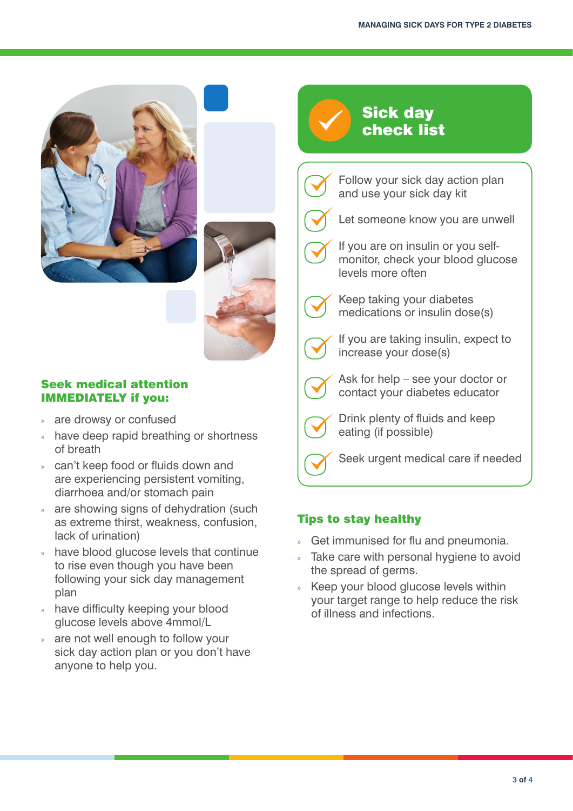



#### Seek medical attention IMMEDIATELY if you:

- are drowsy or confused
- » have deep rapid breathing or shortness of breath
- » can't keep food or fluids down and are experiencing persistent vomiting, diarrhoea and/or stomach pain
- » are showing signs of dehydration (such as extreme thirst, weakness, confusion, lack of urination)
- » have blood glucose levels that continue to rise even though you have been following your sick day management plan
- » have difficulty keeping your blood glucose levels above 4mmol/L
- are not well enough to follow your sick day action plan or you don't have anyone to help you.

### Sick day check list

Follow your sick day action plan and use your sick day kit



- Let someone know you are unwell
- If you are on insulin or you selfmonitor, check your blood glucose levels more often



Keep taking your diabetes medications or insulin dose(s)



If you are taking insulin, expect to increase your dose(s)



Ask for help – see your doctor or contact your diabetes educator



Drink plenty of fluids and keep eating (if possible)



Seek urgent medical care if needed

#### Tips to stay healthy

- » Get immunised for flu and pneumonia.
- » Take care with personal hygiene to avoid the spread of germs.
- » Keep your blood glucose levels within your target range to help reduce the risk of illness and infections.